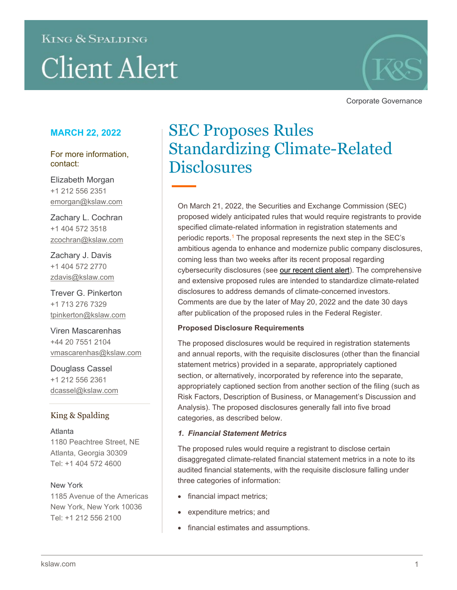# **KING & SPALDING Client Alert**



Corporate Governance

### **MARCH 22, 2022**

For more information, contact:

Elizabeth Morgan +1 212 556 2351 [emorgan@kslaw.com](mailto:emorgan@kslaw.com)

Zachary L. Cochran +1 404 572 3518 zcochran@kslaw.com

Zachary J. Davis +1 404 572 2770 zdavis@kslaw.com

Trever G. Pinkerton +1 713 276 7329 [tpinkerton@kslaw.com](mailto:tpinkerton@kslaw.com)

Viren Mascarenhas +44 20 7551 2104 [vmascarenhas@kslaw.com](mailto:vmascarenhas@kslaw.com)

Douglass Cassel +1 212 556 2361 [dcassel@kslaw.com](mailto:dcassel@kslaw.com)

#### King & Spalding

Atlanta 1180 Peachtree Street, NE Atlanta, Georgia 30309 Tel: +1 404 572 4600

#### New York

1185 Avenue of the Americas New York, New York 10036 Tel: +1 212 556 2100

## SEC Proposes Rules Standardizing Climate-Related Disclosures

On March 21, 2022, the Securities and Exchange Commission (SEC) proposed widely anticipated rules that would require registrants to provide specified climate-related information in registration statements and periodic reports.<sup>[1](#page-4-0)</sup> The proposal represents the next step in the SEC's ambitious agenda to enhance and modernize public company disclosures, coming less than two weeks after its recent proposal regarding cybersecurity disclosures (see [our recent client alert\)](https://www.kslaw.com/news-and-insights/sec-proposes-rules-enhancing-cybersecurity-disclosures). The comprehensive and extensive proposed rules are intended to standardize climate-related disclosures to address demands of climate-concerned investors. Comments are due by the later of May 20, 2022 and the date 30 days after publication of the proposed rules in the Federal Register.

#### **Proposed Disclosure Requirements**

The proposed disclosures would be required in registration statements and annual reports, with the requisite disclosures (other than the financial statement metrics) provided in a separate, appropriately captioned section, or alternatively, incorporated by reference into the separate, appropriately captioned section from another section of the filing (such as Risk Factors, Description of Business, or Management's Discussion and Analysis). The proposed disclosures generally fall into five broad categories, as described below.

#### *1. Financial Statement Metrics*

The proposed rules would require a registrant to disclose certain disaggregated climate-related financial statement metrics in a note to its audited financial statements, with the requisite disclosure falling under three categories of information:

- financial impact metrics;
- expenditure metrics; and
- financial estimates and assumptions.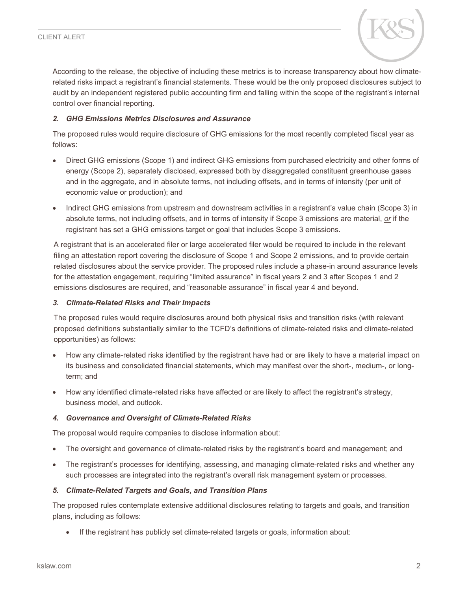

According to the release, the objective of including these metrics is to increase transparency about how climaterelated risks impact a registrant's financial statements. These would be the only proposed disclosures subject to audit by an independent registered public accounting firm and falling within the scope of the registrant's internal control over financial reporting.

#### *2. GHG Emissions Metrics Disclosures and Assurance*

The proposed rules would require disclosure of GHG emissions for the most recently completed fiscal year as follows:

- Direct GHG emissions (Scope 1) and indirect GHG emissions from purchased electricity and other forms of energy (Scope 2), separately disclosed, expressed both by disaggregated constituent greenhouse gases and in the aggregate, and in absolute terms, not including offsets, and in terms of intensity (per unit of economic value or production); and
- Indirect GHG emissions from upstream and downstream activities in a registrant's value chain (Scope 3) in absolute terms, not including offsets, and in terms of intensity if Scope 3 emissions are material, *or* if the registrant has set a GHG emissions target or goal that includes Scope 3 emissions.

A registrant that is an accelerated filer or large accelerated filer would be required to include in the relevant filing an attestation report covering the disclosure of Scope 1 and Scope 2 emissions, and to provide certain related disclosures about the service provider. The proposed rules include a phase-in around assurance levels for the attestation engagement, requiring "limited assurance" in fiscal years 2 and 3 after Scopes 1 and 2 emissions disclosures are required, and "reasonable assurance" in fiscal year 4 and beyond.

#### *3. Climate-Related Risks and Their Impacts*

The proposed rules would require disclosures around both physical risks and transition risks (with relevant proposed definitions substantially similar to the TCFD's definitions of climate-related risks and climate-related opportunities) as follows:

- How any climate-related risks identified by the registrant have had or are likely to have a material impact on its business and consolidated financial statements, which may manifest over the short-, medium-, or longterm; and
- How any identified climate-related risks have affected or are likely to affect the registrant's strategy, business model, and outlook.

#### *4. Governance and Oversight of Climate-Related Risks*

The proposal would require companies to disclose information about:

- The oversight and governance of climate-related risks by the registrant's board and management; and
- The registrant's processes for identifying, assessing, and managing climate-related risks and whether any such processes are integrated into the registrant's overall risk management system or processes.

#### *5. Climate-Related Targets and Goals, and Transition Plans*

The proposed rules contemplate extensive additional disclosures relating to targets and goals, and transition plans, including as follows:

If the registrant has publicly set climate-related targets or goals, information about: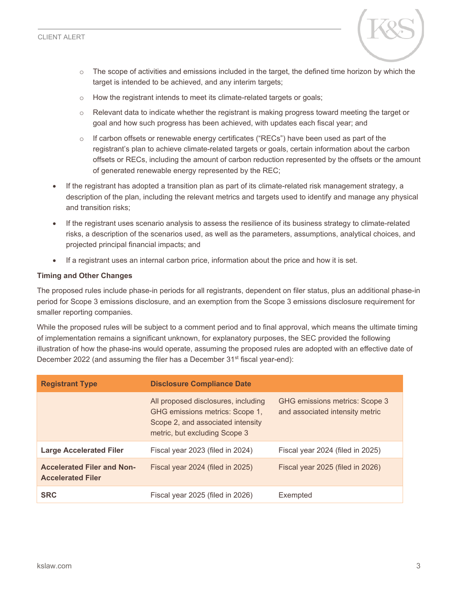

- $\circ$  The scope of activities and emissions included in the target, the defined time horizon by which the target is intended to be achieved, and any interim targets;
- o How the registrant intends to meet its climate-related targets or goals;
- $\circ$  Relevant data to indicate whether the registrant is making progress toward meeting the target or goal and how such progress has been achieved, with updates each fiscal year; and
- $\circ$  If carbon offsets or renewable energy certificates ("RECs") have been used as part of the registrant's plan to achieve climate-related targets or goals, certain information about the carbon offsets or RECs, including the amount of carbon reduction represented by the offsets or the amount of generated renewable energy represented by the REC;
- If the registrant has adopted a transition plan as part of its climate-related risk management strategy, a description of the plan, including the relevant metrics and targets used to identify and manage any physical and transition risks;
- If the registrant uses scenario analysis to assess the resilience of its business strategy to climate-related risks, a description of the scenarios used, as well as the parameters, assumptions, analytical choices, and projected principal financial impacts; and
- If a registrant uses an internal carbon price, information about the price and how it is set.

#### **Timing and Other Changes**

The proposed rules include phase-in periods for all registrants, dependent on filer status, plus an additional phase-in period for Scope 3 emissions disclosure, and an exemption from the Scope 3 emissions disclosure requirement for smaller reporting companies.

While the proposed rules will be subject to a comment period and to final approval, which means the ultimate timing of implementation remains a significant unknown, for explanatory purposes, the SEC provided the following illustration of how the phase-ins would operate, assuming the proposed rules are adopted with an effective date of December 2022 (and assuming the filer has a December 31<sup>st</sup> fiscal year-end):

| <b>Registrant Type</b>                                        | <b>Disclosure Compliance Date</b>                                                                                                            |                                                                   |  |  |  |
|---------------------------------------------------------------|----------------------------------------------------------------------------------------------------------------------------------------------|-------------------------------------------------------------------|--|--|--|
|                                                               | All proposed disclosures, including<br>GHG emissions metrics: Scope 1,<br>Scope 2, and associated intensity<br>metric, but excluding Scope 3 | GHG emissions metrics: Scope 3<br>and associated intensity metric |  |  |  |
| <b>Large Accelerated Filer</b>                                | Fiscal year 2023 (filed in 2024)                                                                                                             | Fiscal year 2024 (filed in 2025)                                  |  |  |  |
| <b>Accelerated Filer and Non-</b><br><b>Accelerated Filer</b> | Fiscal year 2024 (filed in 2025)                                                                                                             | Fiscal year 2025 (filed in 2026)                                  |  |  |  |
| <b>SRC</b>                                                    | Fiscal year 2025 (filed in 2026)                                                                                                             | Exempted                                                          |  |  |  |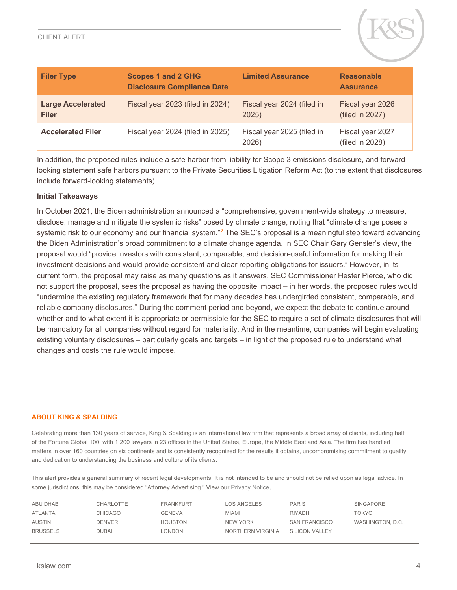

| <b>Filer Type</b>                        | <b>Scopes 1 and 2 GHG</b><br><b>Disclosure Compliance Date</b> | <b>Limited Assurance</b>            | <b>Reasonable</b><br><b>Assurance</b> |
|------------------------------------------|----------------------------------------------------------------|-------------------------------------|---------------------------------------|
| <b>Large Accelerated</b><br><b>Filer</b> | Fiscal year 2023 (filed in 2024)                               | Fiscal year 2024 (filed in<br>2025) | Fiscal year 2026<br>(filed in 2027)   |
| <b>Accelerated Filer</b>                 | Fiscal year 2024 (filed in 2025)                               | Fiscal year 2025 (filed in<br>2026) | Fiscal year 2027<br>(filed in 2028)   |

In addition, the proposed rules include a safe harbor from liability for Scope 3 emissions disclosure, and forwardlooking statement safe harbors pursuant to the Private Securities Litigation Reform Act (to the extent that disclosures include forward-looking statements).

#### **Initial Takeaways**

In October 2021, the Biden administration announced a "comprehensive, government-wide strategy to measure, disclose, manage and mitigate the systemic risks" posed by climate change, noting that "climate change poses a systemic risk to our economy and our financial system."<sup>[2](#page-4-1)</sup> The SEC's proposal is a meaningful step toward advancing the Biden Administration's broad commitment to a climate change agenda. In SEC Chair Gary Gensler's view, the proposal would "provide investors with consistent, comparable, and decision-useful information for making their investment decisions and would provide consistent and clear reporting obligations for issuers." However, in its current form, the proposal may raise as many questions as it answers. SEC Commissioner Hester Pierce, who did not support the proposal, sees the proposal as having the opposite impact – in her words, the proposed rules would "undermine the existing regulatory framework that for many decades has undergirded consistent, comparable, and reliable company disclosures." During the comment period and beyond, we expect the debate to continue around whether and to what extent it is appropriate or permissible for the SEC to require a set of climate disclosures that will be mandatory for all companies without regard for materiality. And in the meantime, companies will begin evaluating existing voluntary disclosures – particularly goals and targets – in light of the proposed rule to understand what changes and costs the rule would impose.

#### **ABOUT KING & SPALDING**

Celebrating more than 130 years of service, King & Spalding is an international law firm that represents a broad array of clients, including half of the Fortune Global 100, with 1,200 lawyers in 23 offices in the United States, Europe, the Middle East and Asia. The firm has handled matters in over 160 countries on six continents and is consistently recognized for the results it obtains, uncompromising commitment to quality, and dedication to understanding the business and culture of its clients.

This alert provides a general summary of recent legal developments. It is not intended to be and should not be relied upon as legal advice. In some jurisdictions, this may be considered "Attorney Advertising." View ou[r Privacy Notice](https://www.kslaw.com/pages/privacy-notice).

| ABU DHABI       | CHARLOTTE     | <b>FRANKFURT</b> | <b>LOS ANGELES</b> | <b>PARIS</b>   | <b>SINGAPORE</b> |
|-----------------|---------------|------------------|--------------------|----------------|------------------|
| <b>ATLANTA</b>  | CHICAGO       | <b>GENEVA</b>    | <b>MIAMI</b>       | <b>RIYADH</b>  | TOKYO            |
| <b>AUSTIN</b>   | <b>DENVER</b> | <b>HOUSTON</b>   | <b>NEW YORK</b>    | SAN FRANCISCO  | WASHINGTON, D.C. |
| <b>BRUSSELS</b> | <b>DUBAI</b>  | LONDON           | NORTHERN VIRGINIA  | SILICON VALLEY |                  |